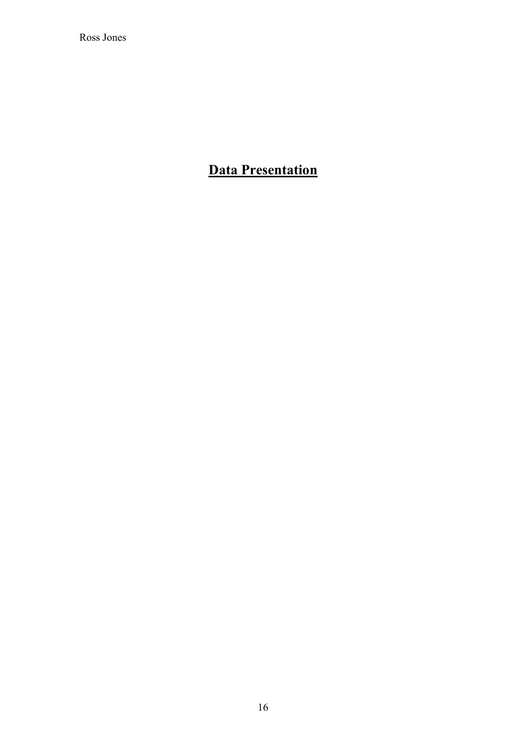Ross Jones

# **Data Presentation**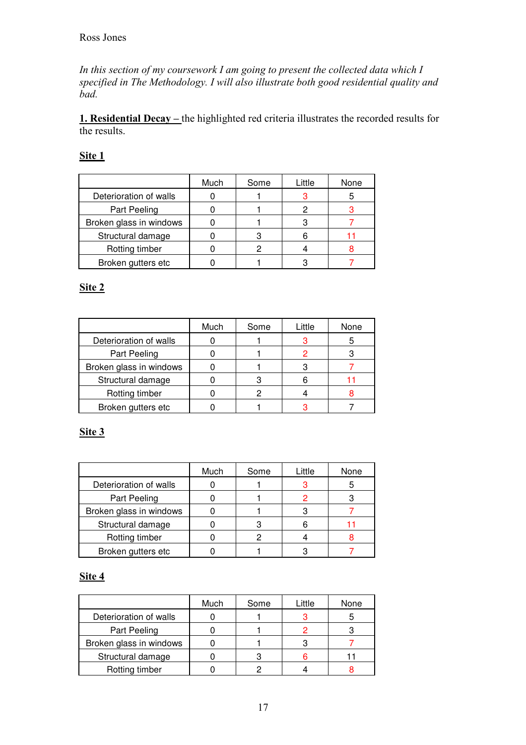In this section of my coursework I am going to present the collected data which I specified in The Methodology. I will also illustrate both good residential quality and  $\dot{b}$ ad.

**1. Residential Decay** – the highlighted red criteria illustrates the recorded results for the results.

## <u>Site 1</u>

|                         | Much | Some | Little | None |
|-------------------------|------|------|--------|------|
| Deterioration of walls  |      |      |        |      |
| Part Peeling            |      |      |        |      |
| Broken glass in windows |      |      |        |      |
| Structural damage       |      |      |        |      |
| Rotting timber          |      |      |        |      |
| Broken gutters etc      |      |      |        |      |

### <u>Site 2</u>

|                         | Much | Some | Little | None |
|-------------------------|------|------|--------|------|
| Deterioration of walls  |      |      |        |      |
| Part Peeling            |      |      |        |      |
| Broken glass in windows |      |      |        |      |
| Structural damage       |      |      |        |      |
| Rotting timber          |      |      |        |      |
| Broken gutters etc      |      |      |        |      |

# <u>Site 3</u>

|                         | Much | Some | Little | None |
|-------------------------|------|------|--------|------|
| Deterioration of walls  |      |      |        | 5    |
| Part Peeling            |      |      |        |      |
| Broken glass in windows |      |      |        |      |
| Structural damage       |      |      |        |      |
| Rotting timber          |      |      |        |      |
| Broken gutters etc      |      |      |        |      |

# <u>Site 4</u>

|                         | Much | Some | Little | None |
|-------------------------|------|------|--------|------|
| Deterioration of walls  |      |      |        |      |
| Part Peeling            |      |      |        |      |
| Broken glass in windows |      |      |        |      |
| Structural damage       |      |      |        |      |
| Rotting timber          |      |      |        |      |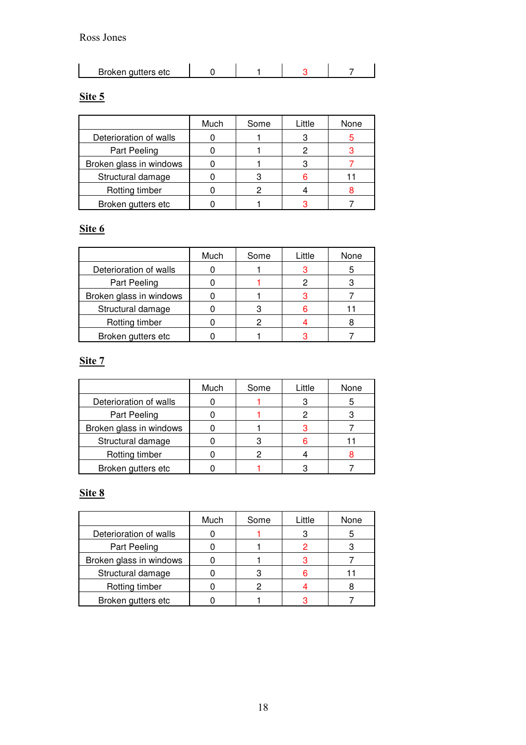#### Ross Jones

| Broken gutters etc |  |  |
|--------------------|--|--|
|                    |  |  |

#### Site 5

|                         | Much | Some | Little | None |
|-------------------------|------|------|--------|------|
| Deterioration of walls  |      |      |        |      |
| Part Peeling            |      |      |        |      |
| Broken glass in windows |      |      |        |      |
| Structural damage       |      |      |        |      |
| Rotting timber          |      |      |        |      |
| Broken gutters etc      |      |      |        |      |

#### Site 6

|                         | Much | Some | Little | None |
|-------------------------|------|------|--------|------|
| Deterioration of walls  |      |      |        |      |
| Part Peeling            |      |      |        |      |
| Broken glass in windows |      |      |        |      |
| Structural damage       |      |      |        |      |
| Rotting timber          |      |      |        |      |
| Broken gutters etc      |      |      |        |      |

#### <u>Site 7</u>

|                         | Much | Some | Little | None |
|-------------------------|------|------|--------|------|
| Deterioration of walls  |      |      |        |      |
| Part Peeling            |      |      |        |      |
| Broken glass in windows |      |      |        |      |
| Structural damage       |      |      |        |      |
| Rotting timber          |      |      |        |      |
| Broken gutters etc      |      |      |        |      |

#### Site 8

|                         | Much | Some | Little | None |
|-------------------------|------|------|--------|------|
| Deterioration of walls  |      |      |        |      |
| Part Peeling            |      |      |        |      |
| Broken glass in windows |      |      |        |      |
| Structural damage       |      |      |        |      |
| Rotting timber          |      |      |        |      |
| Broken gutters etc      |      |      |        |      |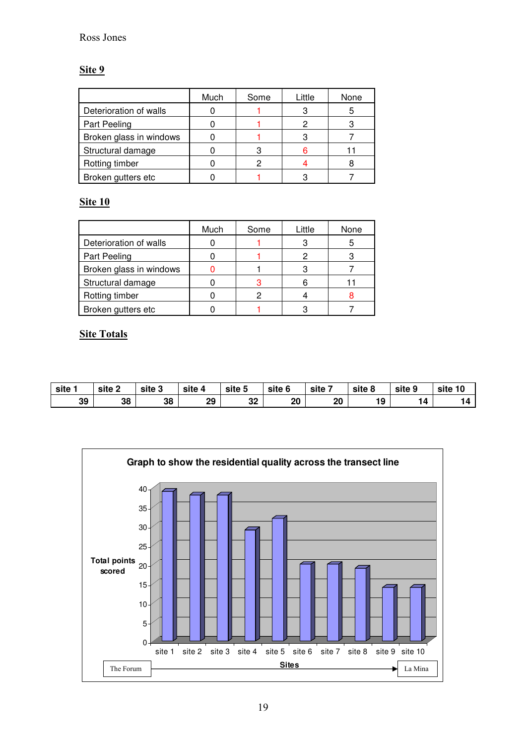# <u>Site 9</u>

|                         | Much | Some | Little | None |
|-------------------------|------|------|--------|------|
| Deterioration of walls  |      |      |        | 5    |
| Part Peeling            |      |      |        |      |
| Broken glass in windows |      |      |        |      |
| Structural damage       |      |      |        |      |
| Rotting timber          |      |      |        |      |
| Broken gutters etc      |      |      |        |      |

## <u>Site 10</u>

|                         | Much | Some | Little | None |
|-------------------------|------|------|--------|------|
| Deterioration of walls  |      |      |        |      |
| Part Peeling            |      |      |        |      |
| Broken glass in windows |      |      |        |      |
| Structural damage       |      |      |        |      |
| Rotting timber          |      |      |        |      |
| Broken gutters etc      |      |      |        |      |

## **Site Totals**

| site | site 2 | site 3 | site 4 | -<br>site 5 | site 6 | site 7 | site 8 | site 9 | 10<br>site |
|------|--------|--------|--------|-------------|--------|--------|--------|--------|------------|
| 39   | 38     | 38     | 29     | 32          | 20     | 20     | 19     | 14     | 14         |

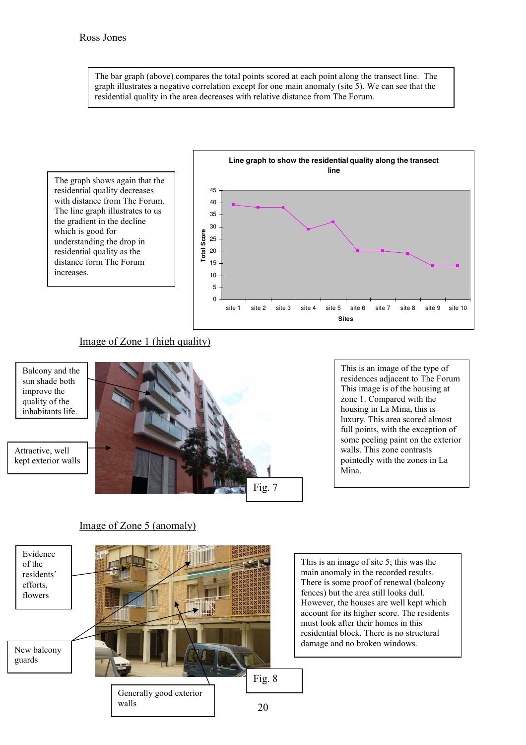The bar graph (above) compares the total points scored at each point along the transect line. The graph illustrates a negative correlation except for one main anomaly (site 5). We can see that the residential quality in the area decreases with relative distance from The Forum.



## Image of Zone 1 (high quality)



This is an image of the type of residences adjacent to The Forum This image is of the housing at zone 1. Compared with the housing in La Mina, this is luxury. This area scored almost full points, with the exception of some peeling paint on the exterior walls. This zone contrasts pointedly with the zones in La

# Image of Zone 5 (anomaly)

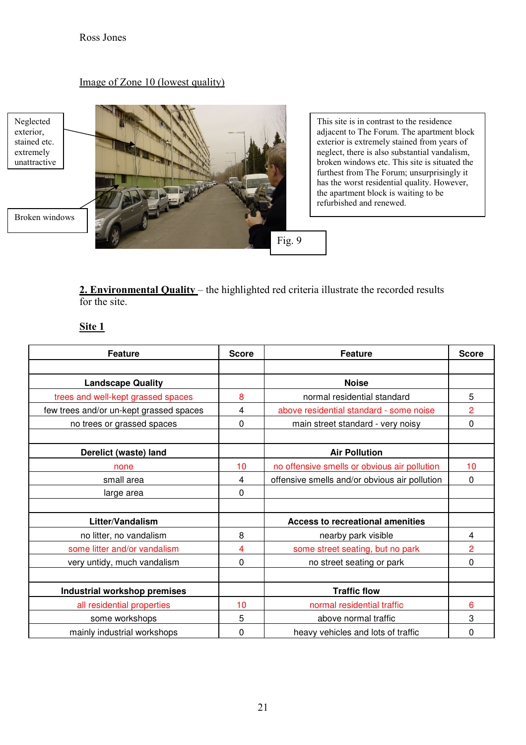#### Image of Zone 10 (lowest quality)

# Neglected<br>exterior, stained etc. extremely unattractive





This site is in contrast to the residence adjacent to The Forum. The apartment block exterior is extremely stained from years of neglect, there is also substantial vandalism, broken windows etc. This site is situated the furthest from The Forum; unsurprisingly it has the worst residential quality. However, the apartment block is waiting to be refurbished and renewed.

2. Environmental Quality – the highlighted red criteria illustrate the recorded results for the site.

# Site 1

| <b>Feature</b>                          | <b>Score</b> | <b>Feature</b>                                | <b>Score</b> |
|-----------------------------------------|--------------|-----------------------------------------------|--------------|
|                                         |              |                                               |              |
| <b>Landscape Quality</b>                |              | <b>Noise</b>                                  |              |
| trees and well-kept grassed spaces      | 8            | normal residential standard                   | 5            |
| few trees and/or un-kept grassed spaces | 4            | above residential standard - some noise       | 2            |
| no trees or grassed spaces              | 0            | main street standard - very noisy             | 0            |
|                                         |              |                                               |              |
| Derelict (waste) land                   |              | <b>Air Pollution</b>                          |              |
| none                                    | 10           | no offensive smells or obvious air pollution  | 10           |
| small area                              | 4            | offensive smells and/or obvious air pollution | 0            |
| large area                              | 0            |                                               |              |
|                                         |              |                                               |              |
| Litter/Vandalism                        |              | <b>Access to recreational amenities</b>       |              |
| no litter, no vandalism                 | 8            | nearby park visible                           | 4            |
| some litter and/or vandalism            | 4            | some street seating, but no park              | 2            |
| very untidy, much vandalism             | 0            | no street seating or park                     | $\mathbf{0}$ |
|                                         |              |                                               |              |
| <b>Industrial workshop premises</b>     |              | <b>Traffic flow</b>                           |              |
| all residential properties              | 10           | normal residential traffic                    | 6            |
| some workshops                          | 5            | above normal traffic                          | 3            |
| mainly industrial workshops             | 0            | heavy vehicles and lots of traffic            | 0            |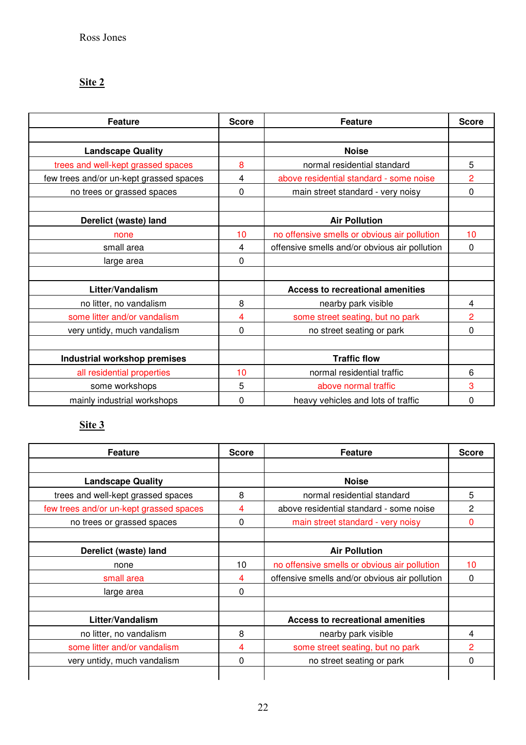## <u>Site 2</u>

| <b>Feature</b>                          | <b>Score</b> | <b>Feature</b>                                | <b>Score</b>   |
|-----------------------------------------|--------------|-----------------------------------------------|----------------|
|                                         |              |                                               |                |
| <b>Landscape Quality</b>                |              | <b>Noise</b>                                  |                |
| trees and well-kept grassed spaces      | 8            | normal residential standard                   | 5              |
| few trees and/or un-kept grassed spaces | 4            | above residential standard - some noise       | $\overline{2}$ |
| no trees or grassed spaces              | 0            | main street standard - very noisy             | 0              |
|                                         |              |                                               |                |
| Derelict (waste) land                   |              | <b>Air Pollution</b>                          |                |
| none                                    | 10           | no offensive smells or obvious air pollution  | 10             |
| small area                              | 4            | offensive smells and/or obvious air pollution | 0              |
| large area                              | 0            |                                               |                |
|                                         |              |                                               |                |
| Litter/Vandalism                        |              | <b>Access to recreational amenities</b>       |                |
| no litter, no vandalism                 | 8            | nearby park visible                           | 4              |
| some litter and/or vandalism            | 4            | some street seating, but no park              | $\overline{2}$ |
| very untidy, much vandalism             | 0            | no street seating or park                     | 0              |
|                                         |              |                                               |                |
| Industrial workshop premises            |              | <b>Traffic flow</b>                           |                |
| all residential properties              | 10           | normal residential traffic                    | 6              |
| some workshops                          | 5            | above normal traffic                          | 3              |
| mainly industrial workshops             | 0            | heavy vehicles and lots of traffic            | 0              |

# <u>Site 3</u>

| <b>Feature</b>                          | <b>Score</b> | <b>Feature</b>                                | <b>Score</b>   |
|-----------------------------------------|--------------|-----------------------------------------------|----------------|
|                                         |              |                                               |                |
| <b>Landscape Quality</b>                |              | <b>Noise</b>                                  |                |
| trees and well-kept grassed spaces      | 8            | normal residential standard                   | 5              |
| few trees and/or un-kept grassed spaces | 4            | above residential standard - some noise       | $\overline{2}$ |
| no trees or grassed spaces              | $\Omega$     | main street standard - very noisy             | $\mathbf{0}$   |
|                                         |              |                                               |                |
| Derelict (waste) land                   |              | <b>Air Pollution</b>                          |                |
| none                                    | 10           | no offensive smells or obvious air pollution  | 10             |
| small area                              | 4            | offensive smells and/or obvious air pollution | $\Omega$       |
| large area                              | 0            |                                               |                |
|                                         |              |                                               |                |
| Litter/Vandalism                        |              | <b>Access to recreational amenities</b>       |                |
| no litter, no vandalism                 | 8            | nearby park visible                           | 4              |
| some litter and/or vandalism            | 4            | some street seating, but no park              | 2              |
| very untidy, much vandalism             | 0            | no street seating or park                     | $\Omega$       |
|                                         |              |                                               |                |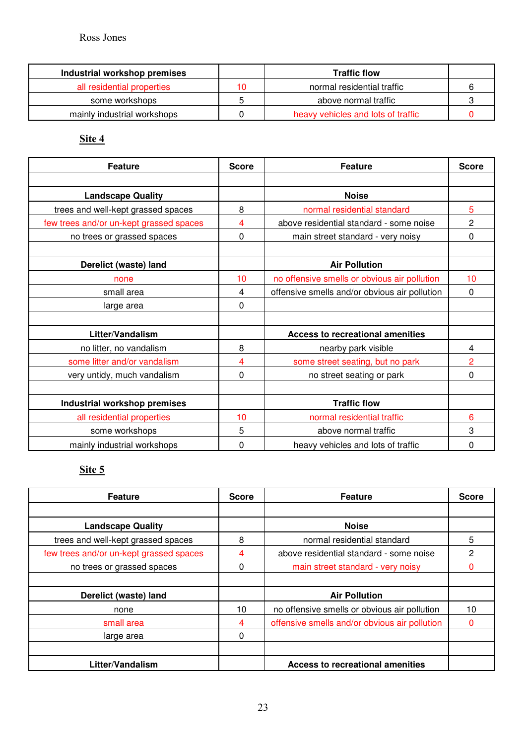| Industrial workshop premises |    | <b>Traffic flow</b>                |  |
|------------------------------|----|------------------------------------|--|
| all residential properties   | 10 | normal residential traffic         |  |
| some workshops               |    | above normal traffic               |  |
| mainly industrial workshops  |    | heavy vehicles and lots of traffic |  |

Site 4

| <b>Feature</b>                          | <b>Score</b> | <b>Feature</b>                                | <b>Score</b>   |
|-----------------------------------------|--------------|-----------------------------------------------|----------------|
|                                         |              |                                               |                |
| <b>Landscape Quality</b>                |              | <b>Noise</b>                                  |                |
| trees and well-kept grassed spaces      | 8            | normal residential standard                   | 5              |
| few trees and/or un-kept grassed spaces | 4            | above residential standard - some noise       | 2              |
| no trees or grassed spaces              | 0            | main street standard - very noisy             | 0              |
|                                         |              |                                               |                |
| Derelict (waste) land                   |              | <b>Air Pollution</b>                          |                |
| none                                    | 10           | no offensive smells or obvious air pollution  | 10             |
| small area                              | 4            | offensive smells and/or obvious air pollution | $\mathbf{0}$   |
| large area                              | 0            |                                               |                |
|                                         |              |                                               |                |
| Litter/Vandalism                        |              | <b>Access to recreational amenities</b>       |                |
| no litter, no vandalism                 | 8            | nearby park visible                           | 4              |
| some litter and/or vandalism            | 4            | some street seating, but no park              | $\overline{2}$ |
| very untidy, much vandalism             | 0            | no street seating or park                     | $\mathbf{0}$   |
|                                         |              |                                               |                |
| <b>Industrial workshop premises</b>     |              | <b>Traffic flow</b>                           |                |
| all residential properties              | 10           | normal residential traffic                    | 6              |
| some workshops                          | 5            | above normal traffic                          | 3              |
| mainly industrial workshops             | 0            | heavy vehicles and lots of traffic            | 0              |

### Site 5

| <b>Feature</b>                          | <b>Score</b> | <b>Feature</b>                                | <b>Score</b> |
|-----------------------------------------|--------------|-----------------------------------------------|--------------|
|                                         |              |                                               |              |
| <b>Landscape Quality</b>                |              | <b>Noise</b>                                  |              |
| trees and well-kept grassed spaces      | 8            | normal residential standard                   | 5            |
| few trees and/or un-kept grassed spaces | 4            | above residential standard - some noise       | 2            |
| no trees or grassed spaces              | 0            | main street standard - very noisy             |              |
|                                         |              |                                               |              |
| Derelict (waste) land                   |              | <b>Air Pollution</b>                          |              |
| none                                    | 10           | no offensive smells or obvious air pollution  | 10           |
| small area                              | 4            | offensive smells and/or obvious air pollution |              |
| large area                              | 0            |                                               |              |
|                                         |              |                                               |              |
| Litter/Vandalism                        |              | <b>Access to recreational amenities</b>       |              |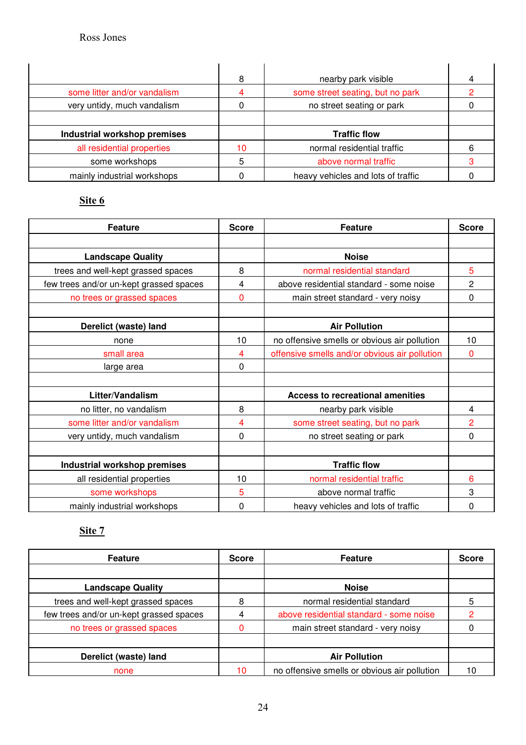|                              | 8  | nearby park visible              |  |
|------------------------------|----|----------------------------------|--|
| some litter and/or vandalism |    | some street seating, but no park |  |
| very untidy, much vandalism  |    | no street seating or park        |  |
|                              |    |                                  |  |
|                              |    |                                  |  |
| Industrial workshop premises |    | <b>Traffic flow</b>              |  |
| all residential properties   | 10 | normal residential traffic       |  |
| some workshops               | 5  | above normal traffic             |  |

# Site 6

| <b>Feature</b>                          | <b>Score</b> | <b>Feature</b>                                | <b>Score</b>   |
|-----------------------------------------|--------------|-----------------------------------------------|----------------|
|                                         |              |                                               |                |
| <b>Landscape Quality</b>                |              | <b>Noise</b>                                  |                |
| trees and well-kept grassed spaces      | 8            | normal residential standard                   | 5              |
| few trees and/or un-kept grassed spaces | 4            | above residential standard - some noise       | $\overline{c}$ |
| no trees or grassed spaces              | 0            | main street standard - very noisy             | 0              |
|                                         |              |                                               |                |
| Derelict (waste) land                   |              | <b>Air Pollution</b>                          |                |
| none                                    | 10           | no offensive smells or obvious air pollution  | 10             |
| small area                              | 4            | offensive smells and/or obvious air pollution | 0              |
| large area                              | 0            |                                               |                |
|                                         |              |                                               |                |
| Litter/Vandalism                        |              | <b>Access to recreational amenities</b>       |                |
| no litter, no vandalism                 | 8            | nearby park visible                           | 4              |
| some litter and/or vandalism            | 4            | some street seating, but no park              | 2              |
| very untidy, much vandalism             | 0            | no street seating or park                     | $\Omega$       |
|                                         |              |                                               |                |
| <b>Industrial workshop premises</b>     |              | <b>Traffic flow</b>                           |                |
| all residential properties              | 10           | normal residential traffic                    | 6              |
| some workshops                          | 5            | above normal traffic                          | 3              |
| mainly industrial workshops             | 0            | heavy vehicles and lots of traffic            | 0              |

# <u>Site 7</u>

| <b>Feature</b>                          | <b>Score</b> | <b>Feature</b>                               | <b>Score</b> |
|-----------------------------------------|--------------|----------------------------------------------|--------------|
|                                         |              |                                              |              |
| <b>Landscape Quality</b>                |              | <b>Noise</b>                                 |              |
| trees and well-kept grassed spaces      | 8            | normal residential standard                  | 5            |
| few trees and/or un-kept grassed spaces |              | above residential standard - some noise      |              |
| no trees or grassed spaces              |              | main street standard - very noisy            |              |
|                                         |              |                                              |              |
| Derelict (waste) land                   |              | <b>Air Pollution</b>                         |              |
| none                                    | 10           | no offensive smells or obvious air pollution |              |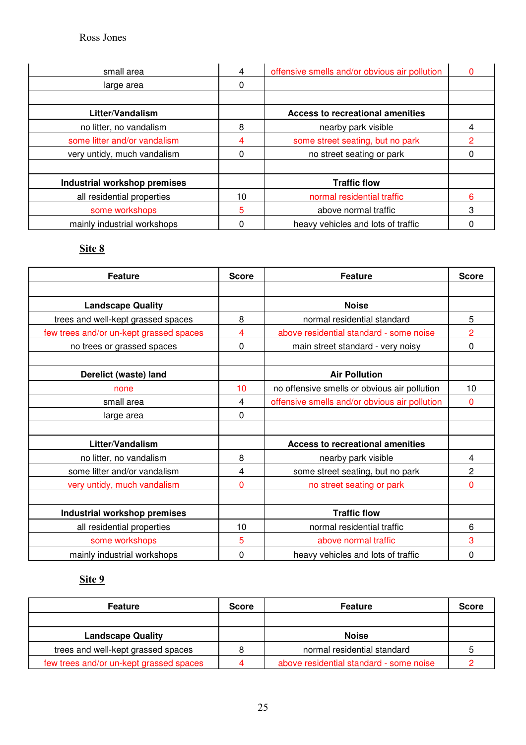| small area                   | 4  | offensive smells and/or obvious air pollution | O |
|------------------------------|----|-----------------------------------------------|---|
| large area                   | 0  |                                               |   |
|                              |    |                                               |   |
| Litter/Vandalism             |    | <b>Access to recreational amenities</b>       |   |
| no litter, no vandalism      | 8  | nearby park visible                           |   |
| some litter and/or vandalism | 4  | some street seating, but no park              | 2 |
| very untidy, much vandalism  | 0  | no street seating or park                     |   |
|                              |    |                                               |   |
| Industrial workshop premises |    | <b>Traffic flow</b>                           |   |
| all residential properties   | 10 | normal residential traffic                    | 6 |
| some workshops               | 5  | above normal traffic                          | 3 |
| mainly industrial workshops  | 0  | heavy vehicles and lots of traffic            |   |

## Site 8

| <b>Feature</b>                          | <b>Score</b> | <b>Feature</b>                                | <b>Score</b>   |
|-----------------------------------------|--------------|-----------------------------------------------|----------------|
|                                         |              |                                               |                |
| <b>Landscape Quality</b>                |              | <b>Noise</b>                                  |                |
| trees and well-kept grassed spaces      | 8            | normal residential standard                   | 5              |
| few trees and/or un-kept grassed spaces | 4            | above residential standard - some noise       | $\overline{2}$ |
| no trees or grassed spaces              | 0            | main street standard - very noisy             | 0              |
|                                         |              |                                               |                |
| Derelict (waste) land                   |              | <b>Air Pollution</b>                          |                |
| none                                    | 10           | no offensive smells or obvious air pollution  | 10             |
| small area                              | 4            | offensive smells and/or obvious air pollution | 0              |
| large area                              | 0            |                                               |                |
|                                         |              |                                               |                |
| Litter/Vandalism                        |              | <b>Access to recreational amenities</b>       |                |
| no litter, no vandalism                 | 8            | nearby park visible                           | 4              |
| some litter and/or vandalism            | 4            | some street seating, but no park              | 2              |
| very untidy, much vandalism             | 0            | no street seating or park                     | 0              |
|                                         |              |                                               |                |
| <b>Industrial workshop premises</b>     |              | <b>Traffic flow</b>                           |                |
| all residential properties              | 10           | normal residential traffic                    | 6              |
| some workshops                          | 5            | above normal traffic                          | 3              |
| mainly industrial workshops             | 0            | heavy vehicles and lots of traffic            | 0              |

# <u>Site 9</u>

| <b>Feature</b>                          | <b>Score</b> | <b>Feature</b>                          | <b>Score</b> |
|-----------------------------------------|--------------|-----------------------------------------|--------------|
|                                         |              |                                         |              |
| <b>Landscape Quality</b>                |              | <b>Noise</b>                            |              |
| trees and well-kept grassed spaces      |              | normal residential standard             |              |
| few trees and/or un-kept grassed spaces |              | above residential standard - some noise |              |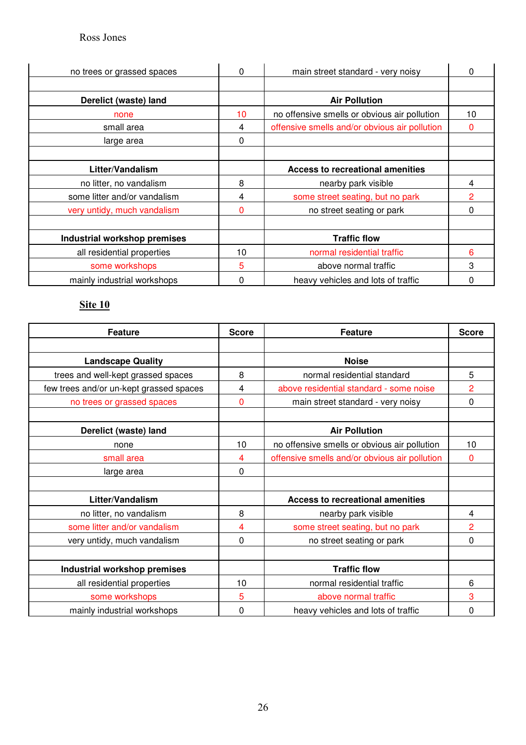| no trees or grassed spaces   | 0  | main street standard - very noisy             | 0              |
|------------------------------|----|-----------------------------------------------|----------------|
|                              |    |                                               |                |
| Derelict (waste) land        |    | <b>Air Pollution</b>                          |                |
| none                         | 10 | no offensive smells or obvious air pollution  | 10             |
| small area                   | 4  | offensive smells and/or obvious air pollution | 0              |
| large area                   | 0  |                                               |                |
|                              |    |                                               |                |
| Litter/Vandalism             |    | Access to recreational amenities              |                |
| no litter, no vandalism      | 8  | nearby park visible                           | 4              |
| some litter and/or vandalism | 4  | some street seating, but no park              | $\overline{2}$ |
| very untidy, much vandalism  | 0  | no street seating or park                     | 0              |
|                              |    |                                               |                |
| Industrial workshop premises |    | <b>Traffic flow</b>                           |                |
| all residential properties   | 10 | normal residential traffic                    | 6              |
| some workshops               | 5  | above normal traffic                          | 3              |
| mainly industrial workshops  | 0  | heavy vehicles and lots of traffic            | ი              |

# <u>Site 10</u>

| <b>Feature</b>                          | <b>Score</b> | <b>Feature</b>                                | <b>Score</b>   |
|-----------------------------------------|--------------|-----------------------------------------------|----------------|
|                                         |              |                                               |                |
| <b>Landscape Quality</b>                |              | <b>Noise</b>                                  |                |
| trees and well-kept grassed spaces      | 8            | normal residential standard                   | 5              |
| few trees and/or un-kept grassed spaces | 4            | above residential standard - some noise       | $\overline{2}$ |
| no trees or grassed spaces              | 0            | main street standard - very noisy             | 0              |
|                                         |              |                                               |                |
| Derelict (waste) land                   |              | <b>Air Pollution</b>                          |                |
| none                                    | 10           | no offensive smells or obvious air pollution  | 10             |
| small area                              | 4            | offensive smells and/or obvious air pollution | 0              |
| large area                              | 0            |                                               |                |
|                                         |              |                                               |                |
| Litter/Vandalism                        |              | <b>Access to recreational amenities</b>       |                |
| no litter, no vandalism                 | 8            | nearby park visible                           | 4              |
| some litter and/or vandalism            | 4            | some street seating, but no park              | 2              |
| very untidy, much vandalism             | 0            | no street seating or park                     | $\Omega$       |
|                                         |              |                                               |                |
| <b>Industrial workshop premises</b>     |              | <b>Traffic flow</b>                           |                |
| all residential properties              | 10           | normal residential traffic                    | 6              |
| some workshops                          | 5            | above normal traffic                          | 3              |
| mainly industrial workshops             | 0            | heavy vehicles and lots of traffic            | 0              |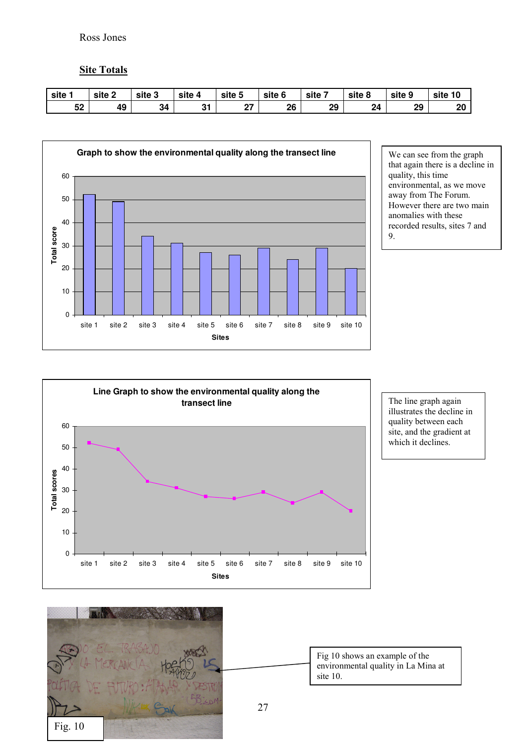#### **Site Totals**

| site | site 2 | site 3 | site 4       | site 5        | site 6 | site | site 8 | site 9 | site 10 |
|------|--------|--------|--------------|---------------|--------|------|--------|--------|---------|
| 52   | 49     | 34     | $\sim$<br>יש | $\sim$<br>. . | 26     | 29   | 24     | 29     | 20      |



We can see from the graph that again there is a decline in quality, this time environmental, as we move away from The Forum. However there are two main anomalies with these recorded results, sites 7 and 9.



The line graph again illustrates the decline in quality between each site, and the gradient at which it declines.



Fig 10 shows an example of the environmental quality in La Mina at site 10.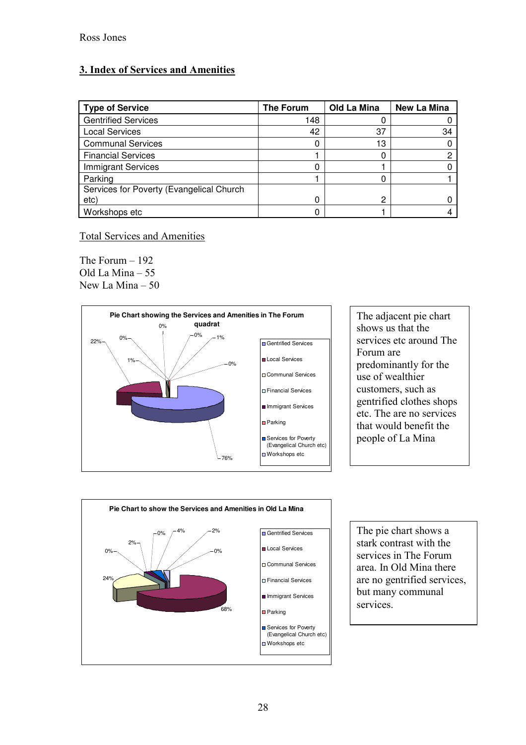# 3. Index of Services and Amenities

| <b>Type of Service</b>                   | <b>The Forum</b> | Old La Mina | <b>New La Mina</b> |
|------------------------------------------|------------------|-------------|--------------------|
| <b>Gentrified Services</b>               | 148              | U           |                    |
| <b>Local Services</b>                    | 42               | 37          | 34                 |
| <b>Communal Services</b>                 |                  | 13          |                    |
| <b>Financial Services</b>                |                  | 0           |                    |
| <b>Immigrant Services</b>                |                  |             |                    |
| Parking                                  |                  | 0           |                    |
| Services for Poverty (Evangelical Church |                  |             |                    |
| etc)                                     |                  | 2           |                    |
| Workshops etc                            |                  |             |                    |

## **Total Services and Amenities**

The Forum  $-192$ Old La Mina - 55 New La Mina - 50



The adjacent pie chart shows us that the services etc around The Forum are predominantly for the use of wealthier customers, such as gentrified clothes shops etc. The are no services that would benefit the people of La Mina



The pie chart shows a stark contrast with the services in The Forum area. In Old Mina there are no gentrified services, but many communal services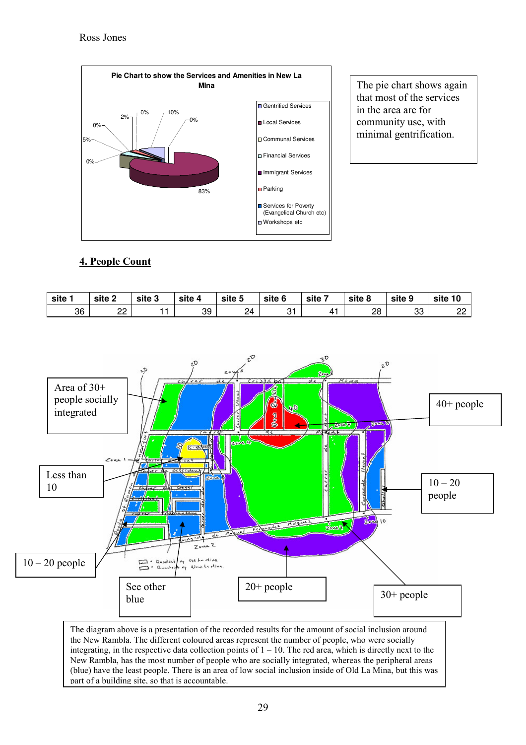

The pie chart shows again that most of the services in the area are for community use, with minimal gentrification.

# 4. People Count

| site | site 2  | site 3 | site 4 | site 5 | site 6 | site : | site 8 | site 9   | site<br>10   |
|------|---------|--------|--------|--------|--------|--------|--------|----------|--------------|
| 36   | nn<br>ᅩ |        | 39     | 24     | ັ      | 41     | 28     | מה<br>ບບ | $\sim$<br>__ |



the New Rambla. The different coloured areas represent the number of people, who were socially integrating, in the respective data collection points of  $1 - 10$ . The red area, which is directly next to the New Rambla, has the most number of people who are socially integrated, whereas the peripheral areas (blue) have the least people. There is an area of low social inclusion inside of Old La Mina, but this was part of a building site, so that is accountable.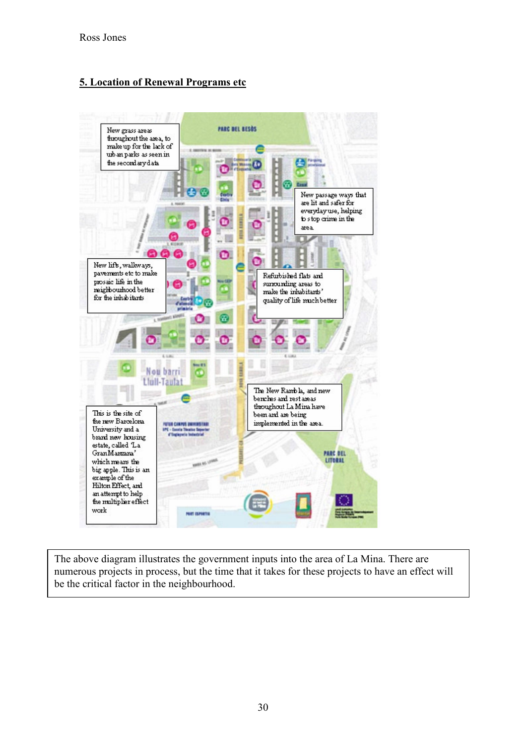# 5. Location of Renewal Programs etc



The above diagram illustrates the government inputs into the area of La Mina. There are numerous projects in process, but the time that it takes for these projects to have an effect will be the critical factor in the neighbourhood.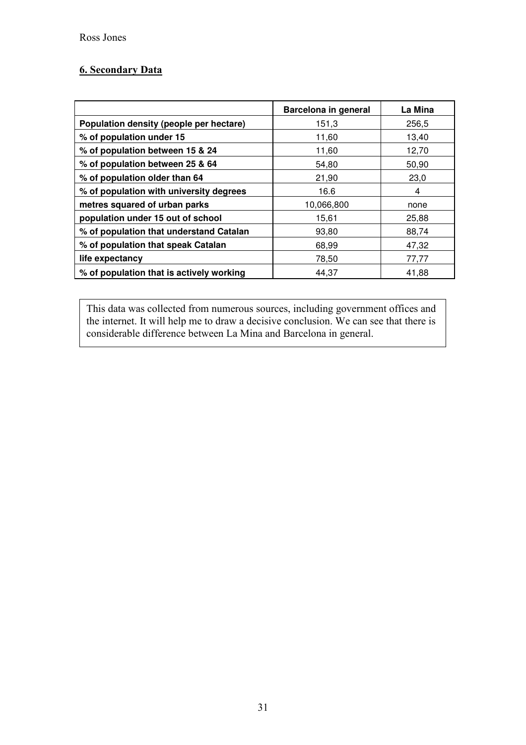## 6. Secondary Data

|                                          | Barcelona in general | La Mina |
|------------------------------------------|----------------------|---------|
| Population density (people per hectare)  | 151,3                | 256,5   |
| % of population under 15                 | 11,60                | 13,40   |
| % of population between 15 & 24          | 11,60                | 12,70   |
| % of population between 25 & 64          | 54.80                | 50,90   |
| % of population older than 64            | 21,90                | 23,0    |
| % of population with university degrees  | 16.6                 | 4       |
| metres squared of urban parks            | 10,066,800           | none    |
| population under 15 out of school        | 15,61                | 25,88   |
| % of population that understand Catalan  | 93,80                | 88,74   |
| % of population that speak Catalan       | 68,99                | 47,32   |
| life expectancy                          | 78,50                | 77,77   |
| % of population that is actively working | 44,37                | 41,88   |

This data was collected from numerous sources, including government offices and the internet. It will help me to draw a decisive conclusion. We can see that there is considerable difference between La Mina and Barcelona in general.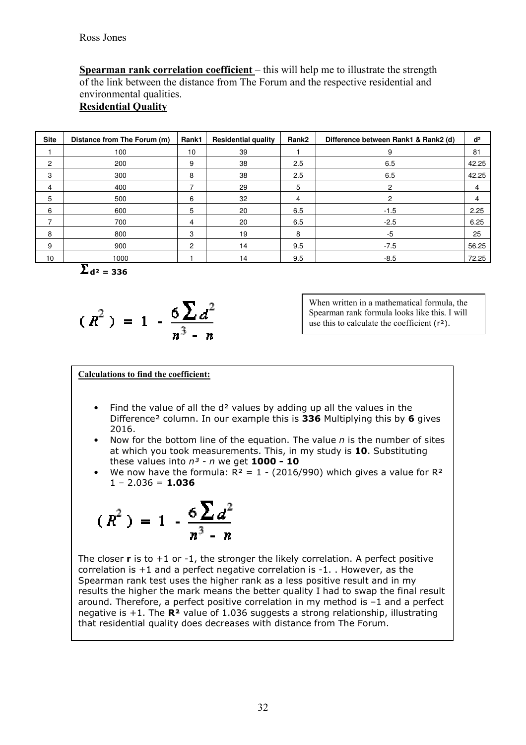Spearman rank correlation coefficient – this will help me to illustrate the strength of the link between the distance from The Forum and the respective residential and environmental qualities.

# **Residential Quality**

| <b>Site</b>    | Distance from The Forum (m) | Rank1          | <b>Residential quality</b> | Rank2 | Difference between Rank1 & Rank2 (d) | d <sup>2</sup> |
|----------------|-----------------------------|----------------|----------------------------|-------|--------------------------------------|----------------|
|                | 100                         | 10             | 39                         |       | 9                                    | 81             |
| $\overline{2}$ | 200                         | 9              | 38                         | 2.5   | 6.5                                  | 42.25          |
| 3              | 300                         | 8              | 38                         | 2.5   | 6.5                                  | 42.25          |
| 4              | 400                         |                | 29                         | 5     |                                      | 4              |
| 5              | 500                         | 6              | 32                         | 4     | 2                                    | 4              |
| 6              | 600                         | 5              | 20                         | 6.5   | $-1.5$                               | 2.25           |
|                | 700                         | 4              | 20                         | 6.5   | $-2.5$                               | 6.25           |
| 8              | 800                         | 3              | 19                         | 8     | $-5$                                 | 25             |
| 9              | 900                         | $\overline{2}$ | 14                         | 9.5   | $-7.5$                               | 56.25          |
| 10             | 1000                        |                | 14                         | 9.5   | $-8.5$                               | 72.25          |

 $d^2 = 336$ 

$$
(R^2) = 1 - \frac{6\sum d^2}{n^3 - n}
$$

When written in a mathematical formula, the Spearman rank formula looks like this. I will use this to calculate the coefficient  $(r^2)$ .

#### Calculations to find the coefficient:

- Find the value of all the d<sup>2</sup> values by adding up all the values in the Difference<sup>2</sup> column. In our example this is 336 Multiplying this by 6 gives 2016.
- Now for the bottom line of the equation. The value  $n$  is the number of sites at which you took measurements. This, in my study is 10. Substituting these values into  $n^3$  - n we get 1000 - 10
- We now have the formula:  $R^2 = 1$  (2016/990) which gives a value for  $R^2$  $1 - 2.036 = 1.036$

$$
(R^2)
$$
 = 1 -  $\frac{6\sum d^2}{n^3 - n}$ 

The closer  $r$  is to  $+1$  or  $-1$ , the stronger the likely correlation. A perfect positive correlation is  $+1$  and a perfect negative correlation is  $-1$ . However, as the Spearman rank test uses the higher rank as a less positive result and in my results the higher the mark means the better quality I had to swap the final result around. Therefore, a perfect positive correlation in my method is  $-1$  and a perfect negative is  $+1$ . The  $\mathbb{R}^2$  value of 1.036 suggests a strong relationship, illustrating that residential quality does decreases with distance from The Forum.